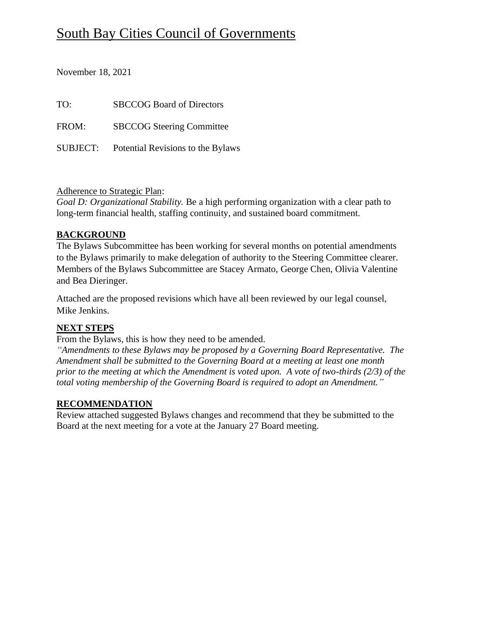# South Bay Cities Council of Governments

November 18, 2021

| TO:   | <b>SBCCOG Board of Directors</b>           |
|-------|--------------------------------------------|
| FROM: | <b>SBCCOG Steering Committee</b>           |
|       | SUBJECT: Potential Revisions to the Bylaws |

# Adherence to Strategic Plan:

*Goal D: Organizational Stability.* Be a high performing organization with a clear path to long-term financial health, staffing continuity, and sustained board commitment.

# **BACKGROUND**

The Bylaws Subcommittee has been working for several months on potential amendments to the Bylaws primarily to make delegation of authority to the Steering Committee clearer. Members of the Bylaws Subcommittee are Stacey Armato, George Chen, Olivia Valentine and Bea Dieringer.

Attached are the proposed revisions which have all been reviewed by our legal counsel, Mike Jenkins.

# **NEXT STEPS**

From the Bylaws, this is how they need to be amended.

*"Amendments to these Bylaws may be proposed by a Governing Board Representative. The Amendment shall be submitted to the Governing Board at a meeting at least one month prior to the meeting at which the Amendment is voted upon. A vote of two-thirds (2/3) of the total voting membership of the Governing Board is required to adopt an Amendment."*

# **RECOMMENDATION**

Review attached suggested Bylaws changes and recommend that they be submitted to the Board at the next meeting for a vote at the January 27 Board meeting.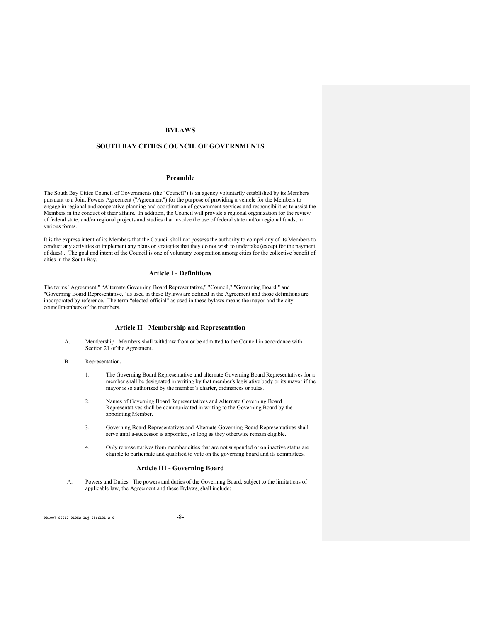### **BYLAWS**

### **SOUTH BAY CITIES COUNCIL OF GOVERNMENTS**

#### **Preamble**

The South Bay Cities Council of Governments (the "Council") is an agency voluntarily established by its Members pursuant to a Joint Powers Agreement ("Agreement") for the purpose of providing a vehicle for the Members to engage in regional and cooperative planning and coordination of government services and responsibilities to assist the Members in the conduct of their affairs. In addition, the Council will provide a regional organization for the review of federal state, and/or regional projects and studies that involve the use of federal state and/or regional funds, in various forms.

It is the express intent of its Members that the Council shall not possess the authority to compel any of its Members to conduct any activities or implement any plans or strategies that they do not wish to undertake (except for the payment of dues) . The goal and intent of the Council is one of voluntary cooperation among cities for the collective benefit of cities in the South Bay.

#### **Article I - Definitions**

The terms "Agreement," "Alternate Governing Board Representative," "Council," "Governing Board," and "Governing Board Representative," as used in these Bylaws are defined in the Agreement and those definitions are incorporated by reference. The term "elected official" as used in these bylaws means the mayor and the city councilmembers of the members.

#### **Article II - Membership and Representation**

A. Membership. Members shall withdraw from or be admitted to the Council in accordance with Section 21 of the Agreement.

#### B. Representation.

- 1. The Governing Board Representative and alternate Governing Board Representatives for a member shall be designated in writing by that member's legislative body or its mayor if the mayor is so authorized by the member's charter, ordinances or rules.
- 2. Names of Governing Board Representatives and Alternate Governing Board Representatives shall be communicated in writing to the Governing Board by the appointing Member.
- 3. Governing Board Representatives and Alternate Governing Board Representatives shall serve until a-successor is appointed, so long as they otherwise remain eligible.
- 4. Only representatives from member cities that are not suspended or on inactive status are eligible to participate and qualified to vote on the governing board and its committees.

#### **Article III - Governing Board**

A. Powers and Duties. The powers and duties of the Governing Board, subject to the limitations of applicable law, the Agreement and these Bylaws, shall include:

**981007 99912-01052 1Si 0566131.2 0** -8-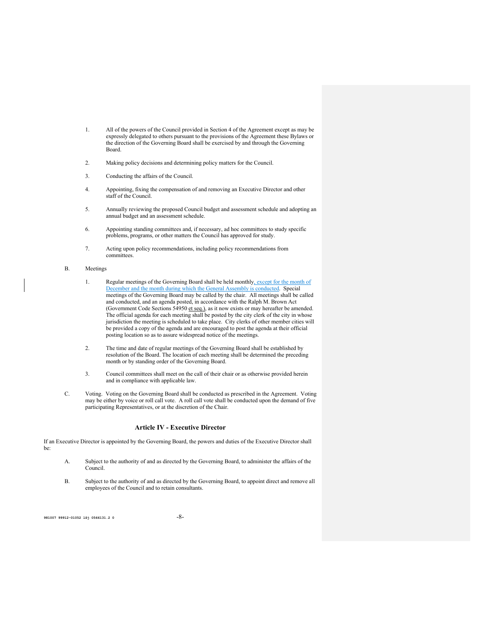- 1. All of the powers of the Council provided in Section 4 of the Agreement except as may be expressly delegated to others pursuant to the provisions of the Agreement these Bylaws or the direction of the Governing Board shall be exercised by and through the Governing Board.
- 2. Making policy decisions and determining policy matters for the Council.
- 3. Conducting the affairs of the Council.
- 4. Appointing, fixing the compensation of and removing an Executive Director and other staff of the Council.
- 5. Annually reviewing the proposed Council budget and assessment schedule and adopting an annual budget and an assessment schedule.
- 6. Appointing standing committees and, if necessary, ad hoc committees to study specific problems, programs, or other matters the Council has approved for study.
- 7. Acting upon policy recommendations, including policy recommendations from committees.

#### B. Meetings

- 1. Regular meetings of the Governing Board shall be held monthly, except for the month of December and the month during which the General Assembly is conducted. Special meetings of the Governing Board may be called by the chair. All meetings shall be called and conducted, and an agenda posted, in accordance with the Ralph M. Brown Act (Government Code Sections 54950 et seq.), as it now exists or may hereafter be amended. The official agenda for each meeting shall be posted by the city clerk of the city in whose jurisdiction the meeting is scheduled to take place. City clerks of other member cities will be provided a copy of the agenda and are encouraged to post the agenda at their official posting location so as to assure widespread notice of the meetings.
- 2. The time and date of regular meetings of the Governing Board shall be established by resolution of the Board. The location of each meeting shall be determined the preceding month or by standing order of the Governing Board.
- 3. Council committees shall meet on the call of their chair or as otherwise provided herein and in compliance with applicable law.
- C. Voting. Voting on the Governing Board shall be conducted as prescribed in the Agreement. Voting may be either by voice or roll call vote. A roll call vote shall be conducted upon the demand of five participating Representatives, or at the discretion of the Chair.

### **Article IV - Executive Director**

If an Executive Director is appointed by the Governing Board, the powers and duties of the Executive Director shall be:

- A. Subject to the authority of and as directed by the Governing Board, to administer the affairs of the Council.
- B. Subject to the authority of and as directed by the Governing Board, to appoint direct and remove all employees of the Council and to retain consultants.

**981007 99912-01052 1Sj 0566131.2 0** -8-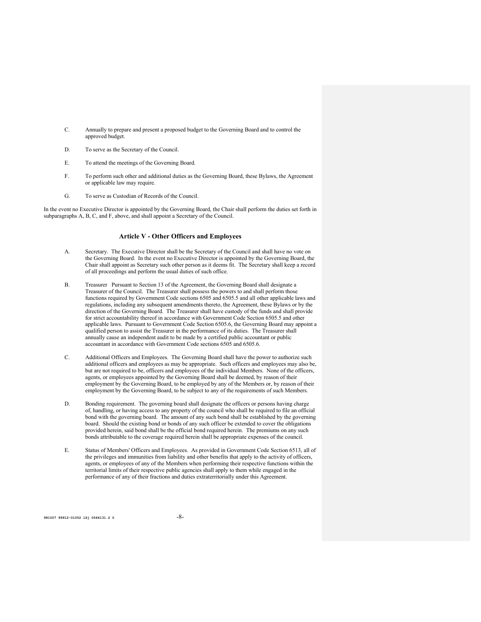- C. Annually to prepare and present a proposed budget to the Governing Board and to control the approved budget.
- D. To serve as the Secretary of the Council.
- E. To attend the meetings of the Governing Board.
- F. To perform such other and additional duties as the Governing Board, these Bylaws, the Agreement or applicable law may require.
- G. To serve as Custodian of Records of the Council.

In the event no Executive Director is appointed by the Governing Board, the Chair shall perform the duties set forth in subparagraphs A, B, C, and F, above, and shall appoint a Secretary of the Council.

#### **Article V - Other Officers and Employees**

- A. Secretary. The Executive Director shall be the Secretary of the Council and shall have no vote on the Governing Board. In the event no Executive Director is appointed by the Governing Board, the Chair shall appoint as Secretary such other person as it deems fit. The Secretary shall keep a record of all proceedings and perform the usual duties of such office.
- B. Treasurer Pursuant to Section 13 of the Agreement, the Governing Board shall designate a Treasurer of the Council. The Treasurer shall possess the powers to and shall perform those functions required by Government Code sections 6505 and 6505.5 and all other applicable laws and regulations, including any subsequent amendments thereto, the Agreement, these Bylaws or by the direction of the Governing Board. The Treasurer shall have custody of the funds and shall provide for strict accountability thereof in accordance with Government Code Section 6505.5 and other applicable laws. Pursuant to Government Code Section 6505.6, the Governing Board may appoint a qualified person to assist the Treasurer in the performance of its duties. The Treasurer shall annually cause an independent audit to be made by a certified public accountant or public accountant in accordance with Government Code sections 6505 and 6505.6.
- C. Additional Officers and Employees. The Governing Board shall have the power to authorize such additional officers and employees as may be appropriate. Such officers and employees may also be, but are not required to be, officers and employees of the individual Members. None of the officers, agents, or employees appointed by the Governing Board shall be deemed, by reason of their employment by the Governing Board, to be employed by any of the Members or, by reason of their employment by the Governing Board, to be subject to any of the requirements of such Members.
- D. Bonding requirement. The governing board shall designate the officers or persons having charge of, handling, or having access to any property of the council who shall be required to file an official bond with the governing board. The amount of any such bond shall be established by the governing board. Should the existing bond or bonds of any such officer be extended to cover the obligations provided herein, said bond shall be the official bond required herein. The premiums on any such bonds attributable to the coverage required herein shall be appropriate expenses of the council.
- E. Status of Members' Officers and Employees. As provided in Government Code Section 6513, all of the privileges and immunities from liability and other benefits that apply to the activity of officers, agents, or employees of any of the Members when performing their respective functions within the territorial limits of their respective public agencies shall apply to them while engaged in the performance of any of their fractions and duties extraterritorially under this Agreement.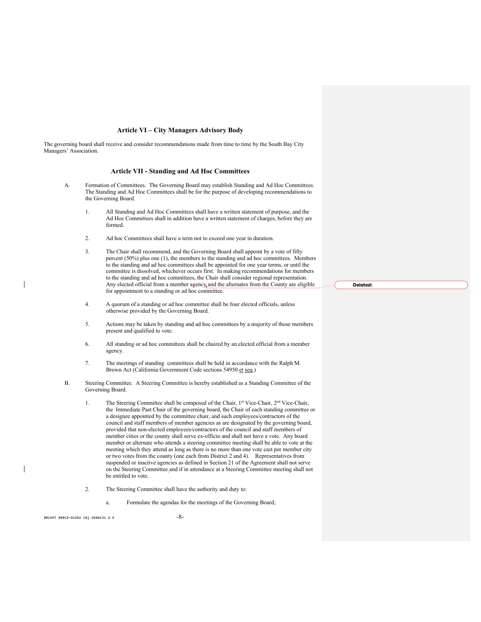#### **Article VI – City Managers Advisory Body**

The governing board shall receive and consider recommendations made from time to time by the South Bay City Managers' Association.

#### **Article VII - Standing and Ad Hoc Committees**

- A. Formation of Committees. The Governing Board may establish Standing and Ad Hoc Committees. The Standing and Ad Hoc Committees shall be for the purpose of developing recommendations to the Governing Board.
	- 1. All Standing and Ad Hoc Committees shall have a written statement of purpose, and the Ad Hoc Committees shall in addition have a written statement of charges, before they are formed.
	- 2. Ad hoc Committees shall have a term not to exceed one year in duration.
	- 3. The Chair shall recommend, and the Governing Board shall appoint by a vote of fifty percent (50%) plus one (1), the members to the standing and ad hoc committees. Members to the standing and ad hoc committees shall be appointed for one year terms, or until the committee is dissolved, whichever occurs first. In making recommendations for members to the standing and ad hoc committees, the Chair shall consider regional representation. Any elected official from a member agency, and the alternates from the County are eligible for appointment to a standing or ad hoc committee.
	- 4. A quorum of a standing or ad hoc committee shall be four elected officials, unless otherwise provided by the Governing Board.
	- 5. Actions may be taken by standing and ad hoc committees by a majority of those members present and qualified to vote.
	- 6. All standing or ad hoc committees shall be chaired by an elected official from a member agency.
	- 7. The meetings of standing committees shall be held in accordance with the Ralph M. Brown Act (California Government Code sections 54950 et seq.)
- B. Steering Committee. A Steering Committee is hereby established as a Standing Committee of the Governing Board.
	- 1. The Steering Committee shall be composed of the Chair, 1st Vice-Chair, 2<sup>nd</sup> Vice-Chair, the Immediate Past Chair of the governing board, the Chair of each standing committee or a designee appointed by the committee chair, and such employees/contractors of the council and staff members of member agencies as are designated by the governing board, provided that non-elected employees/contractors of the council and staff members of member cities or the county shall serve ex-officio and shall not have a vote. Any board member or alternate who attends a steering committee meeting shall be able to vote at the meeting which they attend as long as there is no more than one vote cast per member city or two votes from the county (one each from District 2 and 4). Representatives from suspended or inactive agencies as defined in Section 21 of the Agreement shall not serve on the Steering Committee and if in attendance at a Steering Committee meeting shall not be entitled to vote.
	- 2. The Steering Committee shall have the authority and duty to:
		- a. Formulate the agendas for the meetings of the Governing Board;

**981007 99912-01052 1Si 0566131.2 0** -8-

**Deleted:**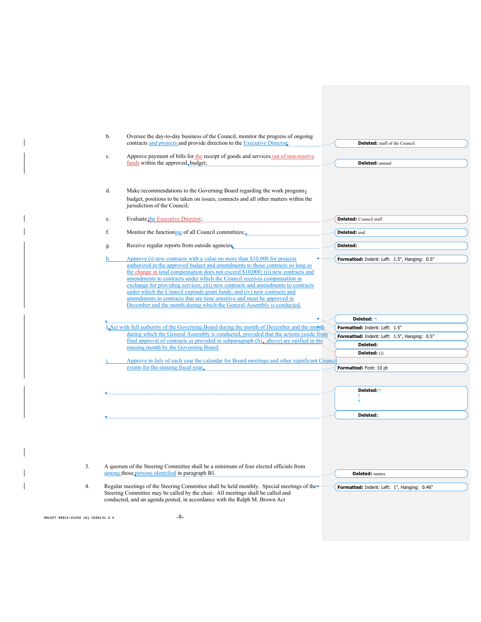|                                    | b.<br>Oversee the day-to-day business of the Council, monitor the progress of ongoing<br>contracts and projects and provide direction to the Executive Director:                                                                                                                                                                                                                                                                                                                                                                                                                                                                                       | <b>Deleted:</b> staff of the Council                                          |
|------------------------------------|--------------------------------------------------------------------------------------------------------------------------------------------------------------------------------------------------------------------------------------------------------------------------------------------------------------------------------------------------------------------------------------------------------------------------------------------------------------------------------------------------------------------------------------------------------------------------------------------------------------------------------------------------------|-------------------------------------------------------------------------------|
|                                    | Approve payment of bills for the receipt of goods and services out of non-reserve<br>c.                                                                                                                                                                                                                                                                                                                                                                                                                                                                                                                                                                |                                                                               |
|                                    | funds within the approved, budget;                                                                                                                                                                                                                                                                                                                                                                                                                                                                                                                                                                                                                     | Deleted: annual                                                               |
|                                    | d.<br>Make recommendations to the Governing Board regarding the work program                                                                                                                                                                                                                                                                                                                                                                                                                                                                                                                                                                           |                                                                               |
|                                    | budget, positions to be taken on issues, contracts and all other matters within the<br>jurisdiction of the Council;                                                                                                                                                                                                                                                                                                                                                                                                                                                                                                                                    |                                                                               |
|                                    | Evaluate the Executive Director,<br>e.                                                                                                                                                                                                                                                                                                                                                                                                                                                                                                                                                                                                                 | <b>Deleted:</b> Council staff                                                 |
|                                    | f.<br>Monitor the functioning of all Council committees;                                                                                                                                                                                                                                                                                                                                                                                                                                                                                                                                                                                               | Deleted: and                                                                  |
|                                    | Receive regular reports from outside agencies:<br>g.                                                                                                                                                                                                                                                                                                                                                                                                                                                                                                                                                                                                   | Deleted: .                                                                    |
|                                    | Approve (i) new contracts with a value no more than \$10,000 for projects<br>h.<br>authorized in the approved budget and amendments to those contracts so long as<br>the change in total compensation does not exceed \$10,000; (ii) new contracts and<br>amendments to contracts under which the Council receives compensation in<br>exchange for providing services; (iii) new contracts and amendments to contracts<br>under which the Council expends grant funds; and (iv) new contracts and<br>amendments to contracts that are time sensitive and must be approved in<br>December and the month during which the General Assembly is conducted. | Formatted: Indent: Left: 1.5", Hanging: 0.5"                                  |
|                                    |                                                                                                                                                                                                                                                                                                                                                                                                                                                                                                                                                                                                                                                        | Deleted: 1                                                                    |
|                                    | LAct with full authority of the Governing Board during the month of December and the month<br>during which the General Assembly is conducted, provided that the actions (aside from                                                                                                                                                                                                                                                                                                                                                                                                                                                                    | Formatted: Indent: Left: 1.5"<br>Formatted: Indent: Left: 1.5", Hanging: 0.5" |
|                                    | final approval of contracts as provided in subparagraph $(h)$ , above) are ratified in the<br>ensuing month by the Governing Board.                                                                                                                                                                                                                                                                                                                                                                                                                                                                                                                    | Deleted:                                                                      |
|                                    |                                                                                                                                                                                                                                                                                                                                                                                                                                                                                                                                                                                                                                                        | <b>Deleted:</b> (i)                                                           |
|                                    | Approve in July of each year the calendar for Board meetings and other significant Council<br>events for the ensuing fiscal year,                                                                                                                                                                                                                                                                                                                                                                                                                                                                                                                      |                                                                               |
|                                    |                                                                                                                                                                                                                                                                                                                                                                                                                                                                                                                                                                                                                                                        | Formatted: Font: 10 pt                                                        |
|                                    |                                                                                                                                                                                                                                                                                                                                                                                                                                                                                                                                                                                                                                                        | Deleted: 1                                                                    |
|                                    |                                                                                                                                                                                                                                                                                                                                                                                                                                                                                                                                                                                                                                                        | Deleted:                                                                      |
| 3.                                 | A quorum of the Steering Committee shall be a minimum of four elected officials from                                                                                                                                                                                                                                                                                                                                                                                                                                                                                                                                                                   |                                                                               |
|                                    | among those persons identified in paragraph B1.                                                                                                                                                                                                                                                                                                                                                                                                                                                                                                                                                                                                        | <b>Deleted:</b> names                                                         |
| 4.                                 | Regular meetings of the Steering Committee shall be held monthly. Special meetings of the<br>Steering Committee may be called by the chair. All meetings shall be called and<br>conducted, and an agenda posted, in accordance with the Ralph M. Brown Act                                                                                                                                                                                                                                                                                                                                                                                             | Formatted: Indent: Left: 1", Hanging: 0.46"                                   |
| 981007 99912-01052 1Sj 0566131.2 0 | -8-                                                                                                                                                                                                                                                                                                                                                                                                                                                                                                                                                                                                                                                    |                                                                               |

 $\begin{array}{c} \hline \end{array}$ 

 $\mathsf I$  $\overline{1}$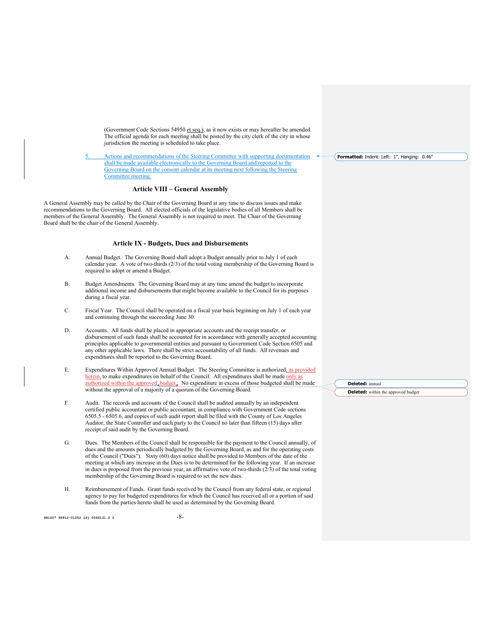(Government Code Sections 54950 et seq.), as it now exists or may hereafter be amended. The official agenda for each meeting shall be posted by the city clerk of the city in whose jurisdiction the meeting is scheduled to take place.

5. Actions and recommendations of the Steering Committee with supporting documentation shall be made available electronically to the Governing Board and reported to the Governing Board on the consent calendar at its meeting next following the Steering Committee meeting.

### **Article VIII – General Assembly**

A General Assembly may be called by the Chair of the Governing Board at any time to discuss issues and make recommendations to the Governing Board. All elected officials of the legislative bodies of all Members shall be members of the General Assembly. The General Assembly is not required to meet. The Chair of the Governing Board shall be the chair of the General Assembly.

#### **Article IX - Budgets, Dues and Disbursements**

- A. Annual Budget. The Governing Board shall adopt a Budget annually prior to July 1 of each calendar year. A vote of two-thirds (2/3) of the total voting membership of the Governing Board is required to adopt or amend a Budget.
- B. Budget Amendments. The Governing Board may at any time amend the budget to incorporate additional income and disbursements that might become available to the Council for its purposes during a fiscal year.
- C. Fiscal Year. The Council shall be operated on a fiscal year basis beginning on July 1 of each year and continuing through the succeeding June 30.
- D. Accounts. All funds shall be placed in appropriate accounts and the receipt transfer, or disbursement of such funds shall be accounted for in accordance with generally accepted accounting principles applicable to governmental entities and pursuant to Government Code Section 6505 and any other applicable laws. There shall be strict accountability of all funds. All revenues and expenditures shall be reported to the Governing Board.
- E. Expenditures Within Approved Annual Budget. The Steering Committee is authorized, as provided herein, to make expenditures on behalf of the Council. All expenditures shall be made only as authorized within the approved, budget.. No expenditure in excess of those budgeted shall be made without the approval of a majority of a quorum of the Governing Board.
- F. Audit. The records and accounts of the Council shall be audited annually by an independent certified public accountant or public accountant, in compliance with Government Code sections 6505.5 - 6505.6, and copies of such audit report shall be filed with the County of Los Angeles Auditor, the State Controller and each party to the Council no later than fifteen (15) days after receipt of said audit by the Governing Board.
- G. Dues. The Members of the Council shall be responsible for the payment to the Council annually, of dues and the amounts periodically budgeted by the Governing Board, as and for the operating costs of the Council ("Dues"). Sixty (60) days notice shall be provided to Members of the date of the meeting at which any increase in the Dues is to be determined for the following year. If an increase in dues is proposed from the previous year, an affirmative vote of two-thirds  $(2/3)$  of the total voting membership of the Governing Board is required to set the new dues.
- H. Reimbursement of Funds. Grant funds received by the Council from any federal state, or regional agency to pay for budgeted expenditures for which the Council has received all or a portion of said funds from the parties hereto shall be used as determined by the Governing Board.

**981007 99912-01052 1Si 0566131.2 0** -8-

**Formatted:** Indent: Left: 1", Hanging: 0.46"

**Deleted:** annual **Deleted:** within the approved budget